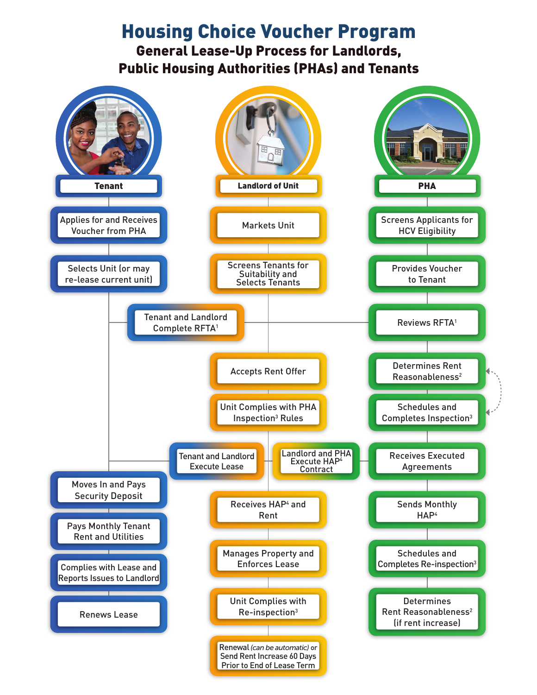## Housing Choice Voucher Program

General Lease-Up Process for Landlords, Public Housing Authorities (PHAs) and Tenants